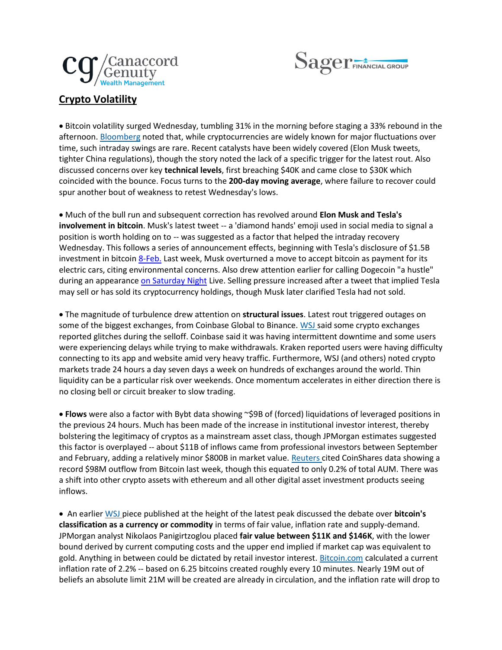



## **Crypto Volatility**

• Bitcoin volatility surged Wednesday, tumbling 31% in the morning before staging a 33% rebound in the afternoon. [Bloomberg](https://urldefense.com/v3/__https:/www.bloomberg.com/news/articles/2021-05-19/bitcoin-erases-all-gains-since-elon-musk-s-initial-big-embrace?srnd=premium-asia&sref=J9GPLx1B__;!!Ei9jbvzSmg!EZfoTLqz2ooxAYLQcEfzK9QU3s3mnBoqQPYhlkUAeDOlLH4-dIplLrFfg3DNbN0$) noted that, while cryptocurrencies are widely known for major fluctuations over time, such intraday swings are rare. Recent catalysts have been widely covered (Elon Musk tweets, tighter China regulations), though the story noted the lack of a specific trigger for the latest rout. Also discussed concerns over key **technical levels**, first breaching \$40K and came close to \$30K which coincided with the bounce. Focus turns to the **200-day moving average**, where failure to recover could spur another bout of weakness to retest Wednesday's lows.

• Much of the bull run and subsequent correction has revolved around **Elon Musk and Tesla's involvement in bitcoin**. Musk's latest tweet -- a 'diamond hands' emoji used in social media to signal a position is worth holding on to -- was suggested as a factor that helped the intraday recovery Wednesday. This follows a series of announcement effects, beginning with Tesla's disclosure of \$1.5B investment in bitcoin [8-Feb.](outlook-data-detector://7/) Last week, Musk overturned a move to accept bitcoin as payment for its electric cars, citing environmental concerns. Also drew attention earlier for calling Dogecoin "a hustle" during an appearance [on Saturday Night](outlook-data-detector://8/) Live. Selling pressure increased after a tweet that implied Tesla may sell or has sold its cryptocurrency holdings, though Musk later clarified Tesla had not sold.

• The magnitude of turbulence drew attention on **structural issues**. Latest rout triggered outages on some of the biggest exchanges, from Coinbase Global to Binance. [WSJ](https://urldefense.com/v3/__https:/www.wsj.com/articles/bitcoin-and-dogecoin-prices-tumble-as-investors-sour-on-cryptos-11621435489?mod=hp_lead_pos2__;!!Ei9jbvzSmg!EZfoTLqz2ooxAYLQcEfzK9QU3s3mnBoqQPYhlkUAeDOlLH4-dIplLrFf9uWy4yk$) said some crypto exchanges reported glitches during the selloff. Coinbase said it was having intermittent downtime and some users were experiencing delays while trying to make withdrawals. Kraken reported users were having difficulty connecting to its app and website amid very heavy traffic. Furthermore, WSJ (and others) noted crypto markets trade 24 hours a day seven days a week on hundreds of exchanges around the world. Thin liquidity can be a particular risk over weekends. Once momentum accelerates in either direction there is no closing bell or circuit breaker to slow trading.

• **Flows** were also a factor with Bybt data showing ~\$9B of (forced) liquidations of leveraged positions in the previous 24 hours. Much has been made of the increase in institutional investor interest, thereby bolstering the legitimacy of cryptos as a mainstream asset class, though JPMorgan estimates suggested this factor is overplayed -- about \$11B of inflows came from professional investors between September and February, adding a relatively minor \$800B in market value. [Reuters](https://urldefense.com/v3/__https:/www.reuters.com/technology/bitcoin-posts-record-weekly-outflows-gains-stall-coinshares-data-2021-05-17/?taid=60a33395ee4f3e0001b3a889&utm_campaign=trueAnthem:*Trending*Content&utm_medium=trueAnthem&utm_source=twitter__;Kys!!Ei9jbvzSmg!EZfoTLqz2ooxAYLQcEfzK9QU3s3mnBoqQPYhlkUAeDOlLH4-dIplLrFfD-_epfY$) cited CoinShares data showing a record \$98M outflow from Bitcoin last week, though this equated to only 0.2% of total AUM. There was a shift into other crypto assets with ethereum and all other digital asset investment products seeing inflows.

• An earlier [WSJ](https://urldefense.com/v3/__https:/www.wsj.com/articles/bitcoins-value-is-all-in-the-eye-of-the-bithodler-11613826002?mod=article_inline__;!!Ei9jbvzSmg!EZfoTLqz2ooxAYLQcEfzK9QU3s3mnBoqQPYhlkUAeDOlLH4-dIplLrFfXzlqF8Y$) piece published at the height of the latest peak discussed the debate over **bitcoin's classification as a currency or commodity** in terms of fair value, inflation rate and supply-demand. JPMorgan analyst Nikolaos Panigirtzoglou placed **fair value between \$11K and \$146K**, with the lower bound derived by current computing costs and the upper end implied if market cap was equivalent to gold. Anything in between could be dictated by retail investor interest. [Bitcoin.com](https://urldefense.com/v3/__http:/Bitcoin.com__;!!Ei9jbvzSmg!EZfoTLqz2ooxAYLQcEfzK9QU3s3mnBoqQPYhlkUAeDOlLH4-dIplLrFfyrsSduY$) calculated a current inflation rate of 2.2% -- based on 6.25 bitcoins created roughly every 10 minutes. Nearly 19M out of beliefs an absolute limit 21M will be created are already in circulation, and the inflation rate will drop to